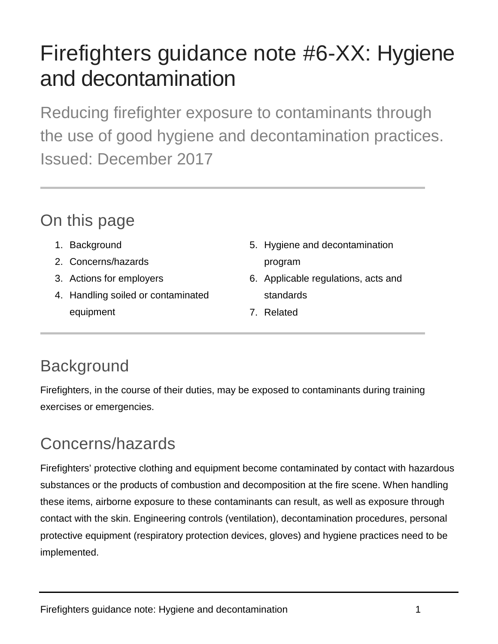# Firefighters guidance note #6-XX: Hygiene and decontamination

Reducing firefighter exposure to contaminants through the use of good hygiene and decontamination practices. Issued: December 2017

## On this page

- 1. Background
- 2. Concerns/hazards
- 3. Actions for employers
- 4. Handling soiled or contaminated equipment
- 5. Hygiene and decontamination program
- 6. Applicable regulations, acts and standards
- 7. Related

# **Background**

Firefighters, in the course of their duties, may be exposed to contaminants during training exercises or emergencies.

# Concerns/hazards

Firefighters' protective clothing and equipment become contaminated by contact with hazardous substances or the products of combustion and decomposition at the fire scene. When handling these items, airborne exposure to these contaminants can result, as well as exposure through contact with the skin. Engineering controls (ventilation), decontamination procedures, personal protective equipment (respiratory protection devices, gloves) and hygiene practices need to be implemented.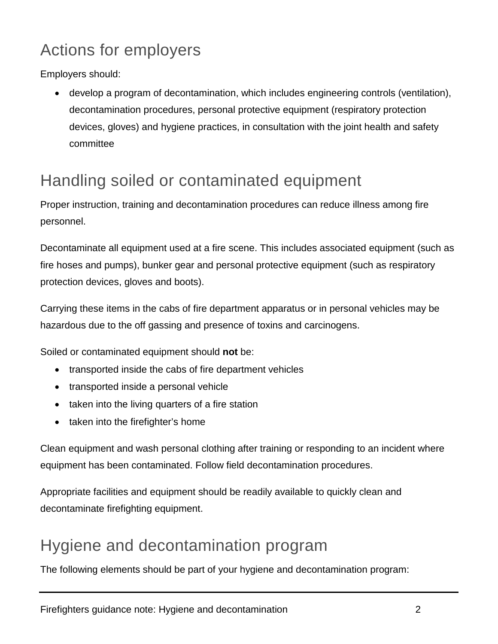## Actions for employers

Employers should:

• develop a program of decontamination, which includes engineering controls (ventilation), decontamination procedures, personal protective equipment (respiratory protection devices, gloves) and hygiene practices, in consultation with the joint health and safety committee

## Handling soiled or contaminated equipment

Proper instruction, training and decontamination procedures can reduce illness among fire personnel.

Decontaminate all equipment used at a fire scene. This includes associated equipment (such as fire hoses and pumps), bunker gear and personal protective equipment (such as respiratory protection devices, gloves and boots).

Carrying these items in the cabs of fire department apparatus or in personal vehicles may be hazardous due to the off gassing and presence of toxins and carcinogens.

Soiled or contaminated equipment should **not** be:

- transported inside the cabs of fire department vehicles
- transported inside a personal vehicle
- taken into the living quarters of a fire station
- taken into the firefighter's home

Clean equipment and wash personal clothing after training or responding to an incident where equipment has been contaminated. Follow field decontamination procedures.

Appropriate facilities and equipment should be readily available to quickly clean and decontaminate firefighting equipment.

#### Hygiene and decontamination program

The following elements should be part of your hygiene and decontamination program: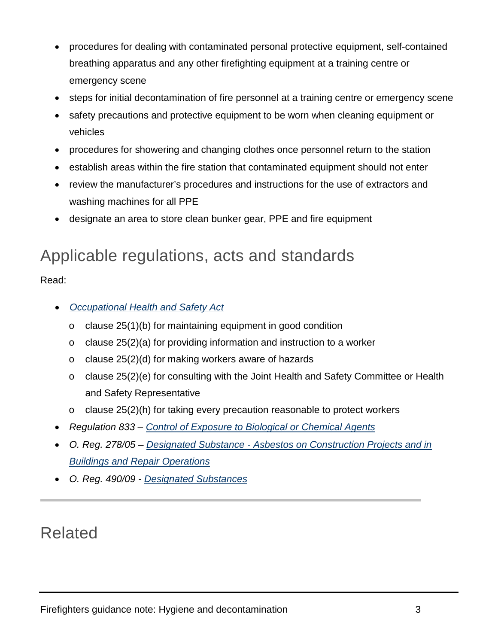- procedures for dealing with contaminated personal protective equipment, self-contained breathing apparatus and any other firefighting equipment at a training centre or emergency scene
- steps for initial decontamination of fire personnel at a training centre or emergency scene
- safety precautions and protective equipment to be worn when cleaning equipment or vehicles
- procedures for showering and changing clothes once personnel return to the station
- establish areas within the fire station that contaminated equipment should not enter
- review the manufacturer's procedures and instructions for the use of extractors and washing machines for all PPE
- designate an area to store clean bunker gear, PPE and fire equipment

#### Applicable regulations, acts and standards

Read:

- *[Occupational](https://www.ontario.ca/laws/statute/90o01) Health and Safety Act*
	- o clause 25(1)(b) for maintaining equipment in good condition
	- $\circ$  clause 25(2)(a) for providing information and instruction to a worker
	- o clause 25(2)(d) for making workers aware of hazards
	- $\circ$  clause 25(2)(e) for consulting with the Joint Health and Safety Committee or Health and Safety Representative
	- o clause 25(2)(h) for taking every precaution reasonable to protect workers
- *Regulation 833 – [Control of Exposure to Biological or Chemical Agents](https://www.ontario.ca/laws/regulation/900833)*
- *O. Reg. 278/05 – Designated Substance - [Asbestos on Construction Projects and in](https://www.ontario.ca/laws/regulation/050278)  Buildings and [Repair Operations](https://www.ontario.ca/laws/regulation/050278)*
- *O. Reg. 490/09 - [Designated Substances](https://www.ontario.ca/laws/regulation/090490)*

#### Related